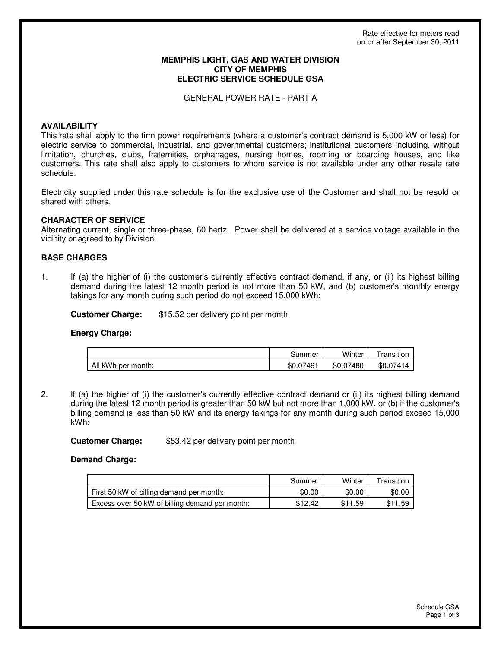#### **MEMPHIS LIGHT, GAS AND WATER DIVISION CITY OF MEMPHIS ELECTRIC SERVICE SCHEDULE GSA**

GENERAL POWER RATE - PART A

## **AVAILABILITY**

This rate shall apply to the firm power requirements (where a customer's contract demand is 5,000 kW or less) for electric service to commercial, industrial, and governmental customers; institutional customers including, without limitation, churches, clubs, fraternities, orphanages, nursing homes, rooming or boarding houses, and like customers. This rate shall also apply to customers to whom service is not available under any other resale rate schedule.

Electricity supplied under this rate schedule is for the exclusive use of the Customer and shall not be resold or shared with others.

## **CHARACTER OF SERVICE**

Alternating current, single or three-phase, 60 hertz. Power shall be delivered at a service voltage available in the vicinity or agreed to by Division.

## **BASE CHARGES**

1. If (a) the higher of (i) the customer's currently effective contract demand, if any, or (ii) its highest billing demand during the latest 12 month period is not more than 50 kW, and (b) customer's monthly energy takings for any month during such period do not exceed 15,000 kWh:

**Customer Charge:** \$15.52 per delivery point per month

### **Energy Charge:**

|                    | കummer    | Winter    | ransition |
|--------------------|-----------|-----------|-----------|
| All kWh per month: | \$0.07491 | \$0.07480 | \$0.07414 |

2. If (a) the higher of (i) the customer's currently effective contract demand or (ii) its highest billing demand during the latest 12 month period is greater than 50 kW but not more than 1,000 kW, or (b) if the customer's billing demand is less than 50 kW and its energy takings for any month during such period exceed 15,000 kWh:

**Customer Charge:** \$53.42 per delivery point per month

 **Demand Charge:** 

|                                                | Summer  | Winter | Transition |
|------------------------------------------------|---------|--------|------------|
| First 50 kW of billing demand per month:       | \$0.00  | \$0.00 | \$0.00     |
| Excess over 50 kW of billing demand per month: | \$12.42 | .59    | 11.59      |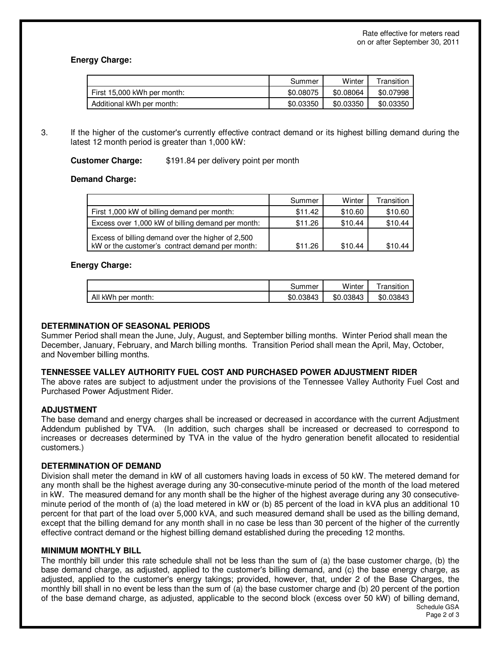# **Energy Charge:**

|                             | Summer    | Winter    | Transition |
|-----------------------------|-----------|-----------|------------|
| First 15,000 kWh per month: | \$0.08075 | \$0.08064 | \$0.07998  |
| Additional kWh per month:   | \$0.03350 | \$0.03350 | \$0.03350  |

3. If the higher of the customer's currently effective contract demand or its highest billing demand during the latest 12 month period is greater than 1,000 kW:

## **Customer Charge:** \$191.84 per delivery point per month

## **Demand Charge:**

|                                                                                                      | Summer  | Winter  | Transition |
|------------------------------------------------------------------------------------------------------|---------|---------|------------|
| First 1,000 kW of billing demand per month:                                                          | \$11.42 | \$10.60 | \$10.60    |
| Excess over 1,000 kW of billing demand per month:                                                    | \$11.26 | \$10.44 | \$10.44    |
| Excess of billing demand over the higher of 2,500<br>kW or the customer's contract demand per month: | \$11.26 | \$10.44 | \$10.44    |

## **Energy Charge:**

|                    | Summer    | Winter    | ' ransıtıon |
|--------------------|-----------|-----------|-------------|
| All kWh per month: | \$0.03843 | \$0.03843 | \$0.03843   |

# **DETERMINATION OF SEASONAL PERIODS**

Summer Period shall mean the June, July, August, and September billing months. Winter Period shall mean the December, January, February, and March billing months. Transition Period shall mean the April, May, October, and November billing months.

### **TENNESSEE VALLEY AUTHORITY FUEL COST AND PURCHASED POWER ADJUSTMENT RIDER**

The above rates are subject to adjustment under the provisions of the Tennessee Valley Authority Fuel Cost and Purchased Power Adjustment Rider.

# **ADJUSTMENT**

The base demand and energy charges shall be increased or decreased in accordance with the current Adjustment Addendum published by TVA. (In addition, such charges shall be increased or decreased to correspond to increases or decreases determined by TVA in the value of the hydro generation benefit allocated to residential customers.)

### **DETERMINATION OF DEMAND**

Division shall meter the demand in kW of all customers having loads in excess of 50 kW. The metered demand for any month shall be the highest average during any 30-consecutive-minute period of the month of the load metered in kW. The measured demand for any month shall be the higher of the highest average during any 30 consecutiveminute period of the month of (a) the load metered in kW or (b) 85 percent of the load in kVA plus an additional 10 percent for that part of the load over 5,000 kVA, and such measured demand shall be used as the billing demand, except that the billing demand for any month shall in no case be less than 30 percent of the higher of the currently effective contract demand or the highest billing demand established during the preceding 12 months.

### **MINIMUM MONTHLY BILL**

Schedule GSA The monthly bill under this rate schedule shall not be less than the sum of (a) the base customer charge, (b) the base demand charge, as adjusted, applied to the customer's billing demand, and (c) the base energy charge, as adjusted, applied to the customer's energy takings; provided, however, that, under 2 of the Base Charges, the monthly bill shall in no event be less than the sum of (a) the base customer charge and (b) 20 percent of the portion of the base demand charge, as adjusted, applicable to the second block (excess over 50 kW) of billing demand,